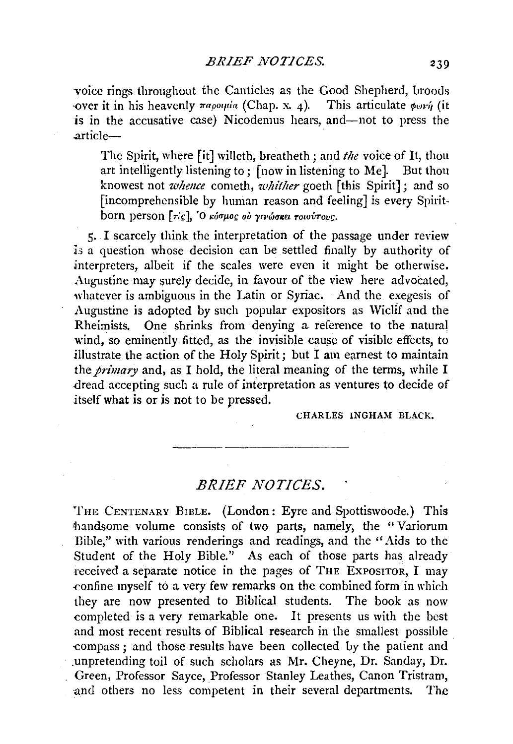voice rings throughout the Canticles as the Good Shepherd, broods ·over it in his heavenly *rapottia* (Chap. x. 4). This articulate  $\phi \circ \psi$  (it is in the accusative case) Nicodemus hears, and—not to press the .article-

The Spirit, where [it] willeth, breatheth; and *the* voice of It, thou art intelligently listening to; [now in listening to Me]. But thou knowest not *whence* cometh, *whither* goeth [this Spirit]; and so [incomprehensible by human reason and feeling] is every Spiritborn person *[ric]*, 'O *κόσμος ου χινώσκει rowovrove*.

5·. I scarcely think the interpretation of the passage under review .is a question whose decision can be settled finally by authority of interpreters, albeit if the scales were even it might be otherwise. Augustine may surely decide, in favour of the view here advocated, whatever is ambiguous in the Latin or Syriac. And the exegesis of Augustine is adopted by such popular expositors as Wiclif and the Rheimists. One shrinks from denying a reference to the natural wind, so eminently fitted, as the invisible cause of visible effects, to illustrate the action of the Holy Spirit; but I am earnest to maintain the *primary* and, as I hold, the literal meaning of the terms, while I .dread accepting such a rule of interpretation as ventures to decide of itself what is or is not to be pressed.

CHARLES INGHAM BLACK.

## *BRIEF NOTICES.*

THE CENTENARY BrBLE. (London: Eyre and Spottiswoode.) This handsome volume consists of two parts, namely, the "Variorum Bible," with various renderings and readings, and the "Aids to the Student of the Holy Bible.'' As each of those parts has already Teceived a separate notice in the pages of THE EXPOSITOR, I may {:On fine myself to a very few remarks on the combined form in which they are now presented to Biblical students. The book as now completed is a very remarkable one. It presents us with the best and most recent results of Biblical research in the smallest possible {:Ompass ; and those results have been collected by the patient and · .unpretending toil of such scholars as Mr. Cheyne, Dr. Sanday, Dr. Green, Professor Sayee, Professor Stanley Leathes, Canon Tristram, and others no less competent in their several departments. The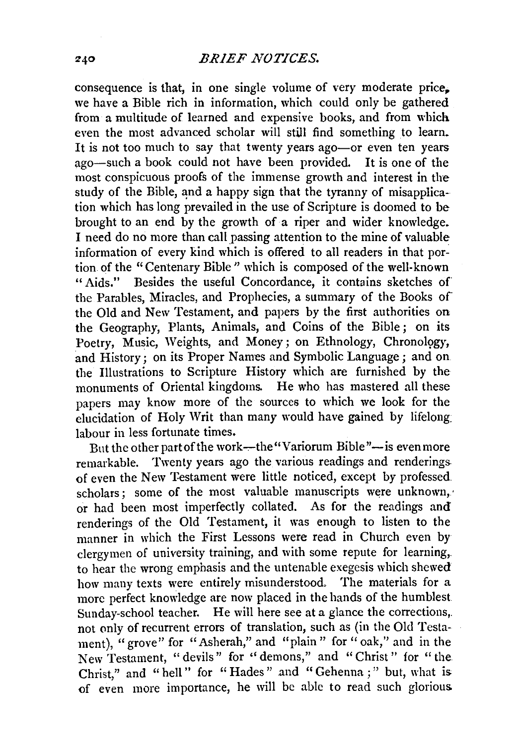consequence is that, in one single volume of very moderate price. we have a Bible rich in information, which could only be gathered from a multitude of learned and expensive books, and from which even the most advanced scholar will still find something to learn. It is not too much to say that twenty years ago-or even ten years ago-such a book could not have been provided. It is one of the most conspicuous proofs of the immense growth and interest in the study of the Bible, and a happy sign that the tyranny of misapplication which has long prevailed in the use of Scripture is doomed to be brought to an end by the growth of a riper and wider knowledge. I need do no more than call passing attention to the mine of valuable information of every kind which is offered to all readers in that portion of the "Centenary Bible" which is composed of the well-known "Aids." Besides the useful Concordance, it contains sketches of the Parables, Miracles, and Prophecies, a summary of the Books of the Old and New Testament, and papers by the first authorities on the Geography, Plants, Animals, and Coins of the Bible ; on its Poetry, Music, Weights, and Money; on Ethnology, Chronology, and History; on its Proper Names and Symbolic Language; and on the Illustrations to Scripture History which are furnished by the monuments of Oriental kingdoms. He who has mastered all these papers may know more of the sources to which we look for the elucidation of Holy Writ than many would have gained by lifelong: labour in less fortunate times.

But the other part of the work---the "Variorum Bible"-- is even more remarkable. Twenty years ago the various readings and renderings. of even the New Testament were little noticed, except by professed scholars; some of the most valuable manuscripts were unknown, or had been most imperfectly collated. As for the readings and renderings of the Old Testament, it was enough to listen to the manner in which the First Lessons were read in Church even by clergymen of university training, and with some repute for learning,. to hear the wrong emphasis and the untenable exegesis which shewed how many texts were entirely misunderstood, The materials for a more perfect knowledge are now placed in the hands of the humblest Sunday-school teacher. He will here see at a glance the corrections,. not only of recurrent errors of translation, such as (in the Old Testament), "grove" for "Asherah," and "plain" for "oak," and in the New Testament, "devils" for ''demons," and "Christ" for "the Christ," and " hell" for "Hades" and "Gehenna ;" but, what is of even more importance, he will be able to read such glorious.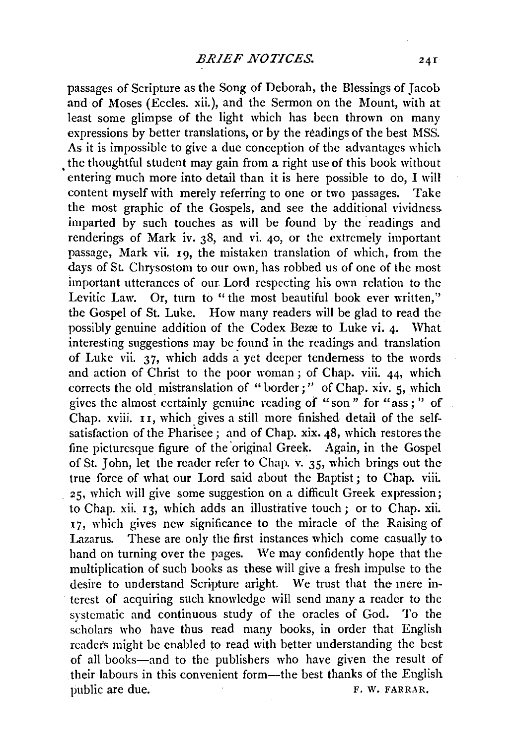passages of Scripture as the Song of Deborah, the Blessings of Jacob and of Moses (Eccles. xii.), and the Sermon on the Mount, with at least some glimpse of the light which has been thrown on many expressions by better translations, or by the readings of the best MSS. As it is impossible to give a due conception of the advantages which the thoughtful student may gain from a right use of this book without entering much more into detail than it is here possible to do, I will content myself with merely referring to one or two passages. Take the most graphic of the Gospels, and see the additional vividness imparted by such touches as will be found by the readings and renderings of Mark iv. 38, and vi. 40, or the extremely important passage, Mark vii. 19, the mistaken translation of which, from the days of St. Chrysostom to our own, has robbed us of one of the most important utterances of our Lord respecting his own relation to the Levitic Law. Or, turn to " the most beautiful book ever written," the Gospel of St. Luke. How many readers will be glad to read the possibly genuine addition of the Codex Bezæ to Luke vi. 4. What interesting suggestions may be found in the readings and translation of Luke vii.  $37$ , which adds a yet deeper tenderness to the words and action of Christ to the poor woman ; of Chap. viii. 44, which corrects the old mistranslation of "border;'' of Chap. xiv. 5, which gives the almost certainly genuine reading of "son" for "ass; '' of Chap. xviii. u, which gives a still more finished detail of the selfsatisfaction of the Pharisee; and of Chap. xix. 48, which restores the fine picturesque figure of the original Greek. Again, in the Gospel of St. John, let the reader refer to Chap. v. 35, which brings out the true force of what our Lord said about the Baptist; to Chap. viii. 25, which will give some suggestion on a difficult Greek expression; to Chap. xii. 13, which adds an illustrative touch; or to Chap. xii. 17, which gives new significance to the miracle of the Raising of Lazarus. These are only the first instances which come casually to hand on turning over the pages. We may confidently hope that the multiplication of such books as these will give a fresh impulse to the desire to understand Scripture aright. We trust that the mere interest of acquiring such knowledge will send many a reader to the systematic and continuous study of the oracles of God. To the scholars who have thus read many books, in order that English readers might be enabled to read with better understanding the best of all books-and to the publishers who have given the result of their labours in this convenient form-the best thanks of the English public are due. F. W. FARRAR.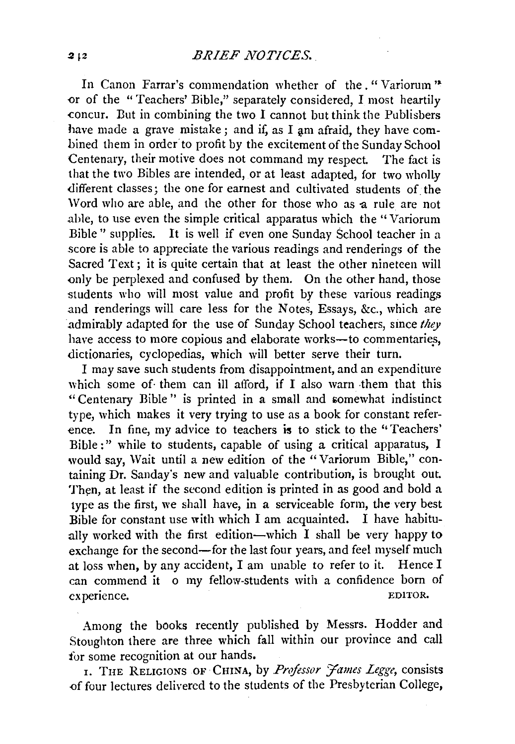In Canon Farrar's commendation whether of the. "Variorum" or of the "Teachers' Bible," separately considered, I most heartily concur. But in combining the two I cannot but think the Publishers have made a grave mistake; and if, as I am afraid, they have combined them in order to profit by the excitement of the Sunday School Centenary, their motive does not command my respect. The fact is that the two Bibles are intended, or at least adapted, for two wholly different classes; the one for earnest and cultivated students of the Word who are able, and the other for those who as a rule are not able, to use even the simple critical apparatus which the'' Variorum Bible'' supplies. It is well if even one Sunday School teacher in a score is able to appreciate the various readings and renderings of the Sacred Text; it is quite certain that at least the other nineteen will only be perplexed and confused by them. On the other hand, those students who will most value and profit by these various readings and renderings will care less for the Notes, Essays, &c., which are admirably adapted for the use of Sunday School teachers, since *they*  have access to more copious and elaborate works-to commentaries, dictionaries, cyclopedias, which will better serve their turn.

I may save such students from disappointment, and an expenditure which some of them can ill afford, if I also warn them that this "Centenary Bible" is printed in a small and somewhat indistinct type, which makes it very trying to use as a book for constant reference. In fine, my advice to teachers is to stick to the "Teachers' Bible:" while to students, capable of using a critical apparatus, I would say, Wait until a new edition of the "Variorum Bible," containing Dr. Sanday's new and valuable contribution, is brought out. Then, at least if the second edition is printed in as good and bold a type as the first, we shall have, in a serviceable form, the very best Bible for constant use with which I am acquainted. I have habitually worked with the first edition-which  $I$  shall be very happy to exchange for the second-for the last four years, and feel myself much at loss when, by any accident, I am unable to refer to it. Hence I can commend it o my fellow-students with a confidence born of experience. EDITOR.

Among the books recently published by Messrs. Hodder and Stoughton there are three which fall within our province and call for some recognition at our hands.

1. THE RELIGIONS OF CHINA, by *Professor James Legge*, consists .of four lectures delivered to the students of the Presbyterian College,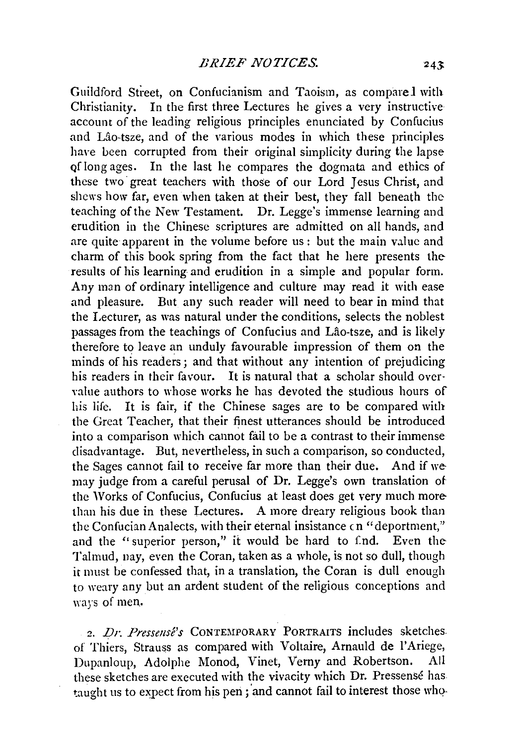Guildford Street, on Confucianism and Taoism, as compare 1 with Christianity. In the first three Lectures he gives a very instructive account of the leading religious principles enunciated by Confucius and Lao-tsze, and of the various modes in which these principles have been corrupted from their original simplicity during the lapse Qf long ages. In the last he compares the dogmata and ethics of these two· great teachers with those of our Lord Jesus Christ, and shews how far, even when taken at their best, they fall beneath the teaching of the New Testament. Dr. Legge's immense learning and erudition in the Chinese scriptures are admitted on all hands, and are quite apparent in the volume before us: but the main value and charm of this book spring from the fact that he here presents the results of his learning and erudition in a simple and popular form. Any man of ordinary intelligence and culture may read it with ease and pleasure. But any such reader will need to bear in mind that the Lecturer, as was natural under the conditions, selects the noblest passages from the teachings of Confucius and Lao-tsze, and is likely therefore to leave an unduly favourable impression of them on the minds of his readers; and that without any intention of prejudicing his readers in their favour. It is natural that a scholar should over· value authors to whose works he has devoted the studious hours of his life. It is fair, if the Chinese sages are to be compared with the Great Teacher, that their finest utterances should be introduced into a comparison which cannot fail to be a contrast to their immense disadvantage. But, nevertheless, in such a comparison, so conducted, the Sages cannot fail to receive far more than their due. And if we may judge from a careful perusal of Dr. Legge's own translation of the Works of Confucius, Confucius at least does get very much more than his due in these Lectures. A more dreary religious book than the Confucian Analects, with their eternal insistance cn "deportment," and the "superior person," it would be hard to f.nd. Even the Talmud, nay, even the Coran, taken as a whole, is not so dull, though it must be confessed that, in a translation, the Coran is dull enough to weary any but an ardent student of the religious conceptions and ways of men.

2. *Dr. Pressensé's* CONTEMPORARY PORTRAITS includes sketches. of Thiers, Strauss as compared with Voltaire, Arnauld de l'Ariege, Dupanloup, Adolphe Monod, Vinet, Verny and Robertson. All these sketches are executed with the vivacity which Dr. Pressense has taught us to expect from his pen; and cannot fail to interest those who.